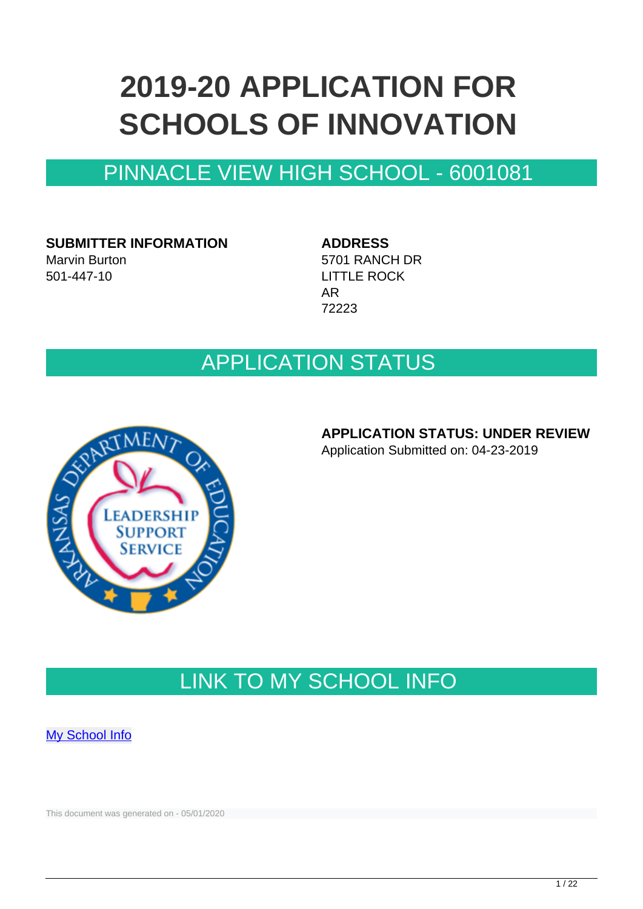# **2019-20 APPLICATION FOR SCHOOLS OF INNOVATION**

# PINNACLE VIEW HIGH SCHOOL - 6001081

**SUBMITTER INFORMATION** Marvin Burton 501-447-10

**ADDRESS** 5701 RANCH DR LITTLE ROCK AR 72223

## APPLICATION STATUS



#### **APPLICATION STATUS: UNDER REVIEW**

Application Submitted on: 04-23-2019

# LINK TO MY SCHOOL INFO

**[My School Info](https://myschoolinfo.arkansas.gov/Schools/Search?OperationContext=None&SearchFlag=School&Query=6001081)** 

This document was generated on - 05/01/2020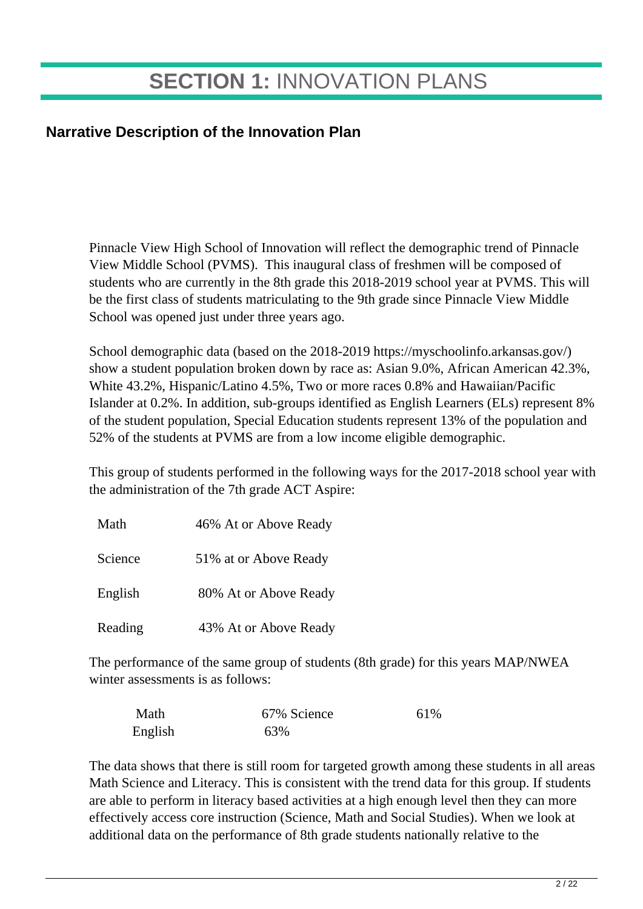# **SECTION 1:** INNOVATION PLANS

### **Narrative Description of the Innovation Plan**

Pinnacle View High School of Innovation will reflect the demographic trend of Pinnacle View Middle School (PVMS). This inaugural class of freshmen will be composed of students who are currently in the 8th grade this 2018-2019 school year at PVMS. This will be the first class of students matriculating to the 9th grade since Pinnacle View Middle School was opened just under three years ago.

School demographic data (based on the 2018-2019 https://myschoolinfo.arkansas.gov/) show a student population broken down by race as: Asian 9.0%, African American 42.3%, White 43.2%, Hispanic/Latino 4.5%, Two or more races 0.8% and Hawaiian/Pacific Islander at 0.2%. In addition, sub-groups identified as English Learners (ELs) represent 8% of the student population, Special Education students represent 13% of the population and 52% of the students at PVMS are from a low income eligible demographic.

This group of students performed in the following ways for the 2017-2018 school year with the administration of the 7th grade ACT Aspire:

| Math    | 46% At or Above Ready |
|---------|-----------------------|
| Science | 51% at or Above Ready |
| English | 80% At or Above Ready |
| Reading | 43% At or Above Ready |

The performance of the same group of students (8th grade) for this years MAP/NWEA winter assessments is as follows:

| Math    | 67% Science | 61\% |
|---------|-------------|------|
| English | 63%         |      |

The data shows that there is still room for targeted growth among these students in all areas Math Science and Literacy. This is consistent with the trend data for this group. If students are able to perform in literacy based activities at a high enough level then they can more effectively access core instruction (Science, Math and Social Studies). When we look at additional data on the performance of 8th grade students nationally relative to the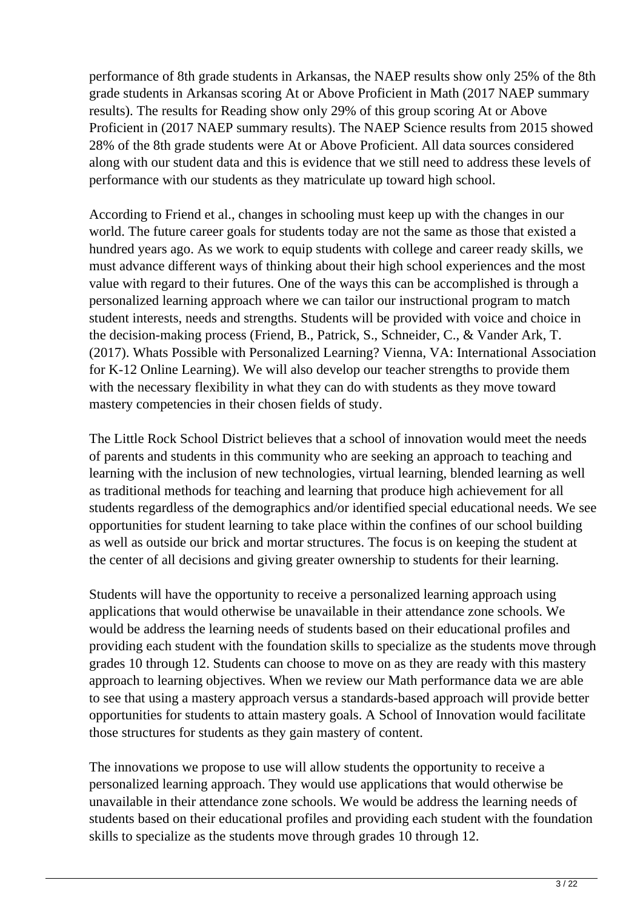performance of 8th grade students in Arkansas, the NAEP results show only 25% of the 8th grade students in Arkansas scoring At or Above Proficient in Math (2017 NAEP summary results). The results for Reading show only 29% of this group scoring At or Above Proficient in (2017 NAEP summary results). The NAEP Science results from 2015 showed 28% of the 8th grade students were At or Above Proficient. All data sources considered along with our student data and this is evidence that we still need to address these levels of performance with our students as they matriculate up toward high school.

According to Friend et al., changes in schooling must keep up with the changes in our world. The future career goals for students today are not the same as those that existed a hundred years ago. As we work to equip students with college and career ready skills, we must advance different ways of thinking about their high school experiences and the most value with regard to their futures. One of the ways this can be accomplished is through a personalized learning approach where we can tailor our instructional program to match student interests, needs and strengths. Students will be provided with voice and choice in the decision-making process (Friend, B., Patrick, S., Schneider, C., & Vander Ark, T. (2017). Whats Possible with Personalized Learning? Vienna, VA: International Association for K-12 Online Learning). We will also develop our teacher strengths to provide them with the necessary flexibility in what they can do with students as they move toward mastery competencies in their chosen fields of study.

The Little Rock School District believes that a school of innovation would meet the needs of parents and students in this community who are seeking an approach to teaching and learning with the inclusion of new technologies, virtual learning, blended learning as well as traditional methods for teaching and learning that produce high achievement for all students regardless of the demographics and/or identified special educational needs. We see opportunities for student learning to take place within the confines of our school building as well as outside our brick and mortar structures. The focus is on keeping the student at the center of all decisions and giving greater ownership to students for their learning.

Students will have the opportunity to receive a personalized learning approach using applications that would otherwise be unavailable in their attendance zone schools. We would be address the learning needs of students based on their educational profiles and providing each student with the foundation skills to specialize as the students move through grades 10 through 12. Students can choose to move on as they are ready with this mastery approach to learning objectives. When we review our Math performance data we are able to see that using a mastery approach versus a standards-based approach will provide better opportunities for students to attain mastery goals. A School of Innovation would facilitate those structures for students as they gain mastery of content.

The innovations we propose to use will allow students the opportunity to receive a personalized learning approach. They would use applications that would otherwise be unavailable in their attendance zone schools. We would be address the learning needs of students based on their educational profiles and providing each student with the foundation skills to specialize as the students move through grades 10 through 12.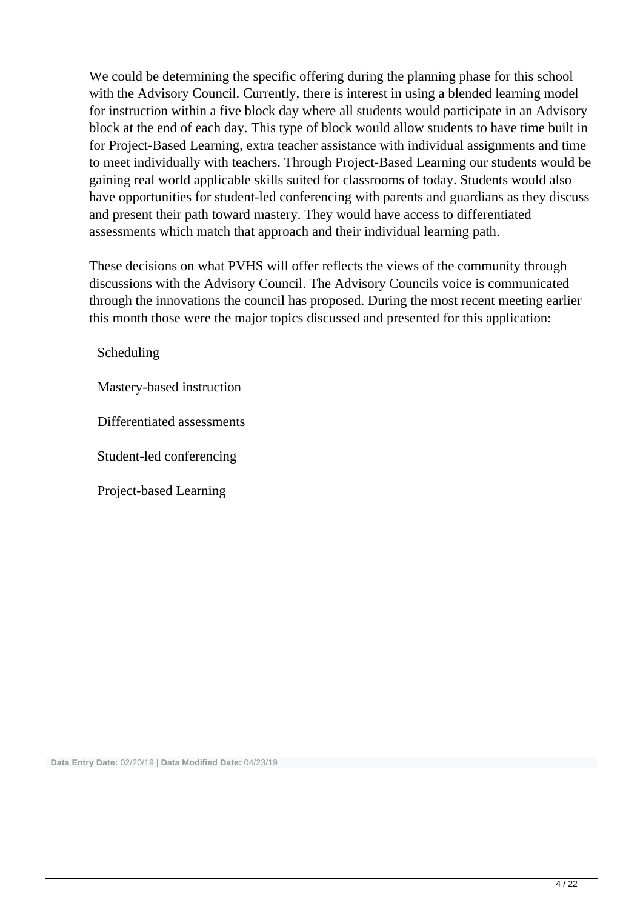We could be determining the specific offering during the planning phase for this school with the Advisory Council. Currently, there is interest in using a blended learning model for instruction within a five block day where all students would participate in an Advisory block at the end of each day. This type of block would allow students to have time built in for Project-Based Learning, extra teacher assistance with individual assignments and time to meet individually with teachers. Through Project-Based Learning our students would be gaining real world applicable skills suited for classrooms of today. Students would also have opportunities for student-led conferencing with parents and guardians as they discuss and present their path toward mastery. They would have access to differentiated assessments which match that approach and their individual learning path.

These decisions on what PVHS will offer reflects the views of the community through discussions with the Advisory Council. The Advisory Councils voice is communicated through the innovations the council has proposed. During the most recent meeting earlier this month those were the major topics discussed and presented for this application:

Scheduling

Mastery-based instruction

Differentiated assessments

Student-led conferencing

Project-based Learning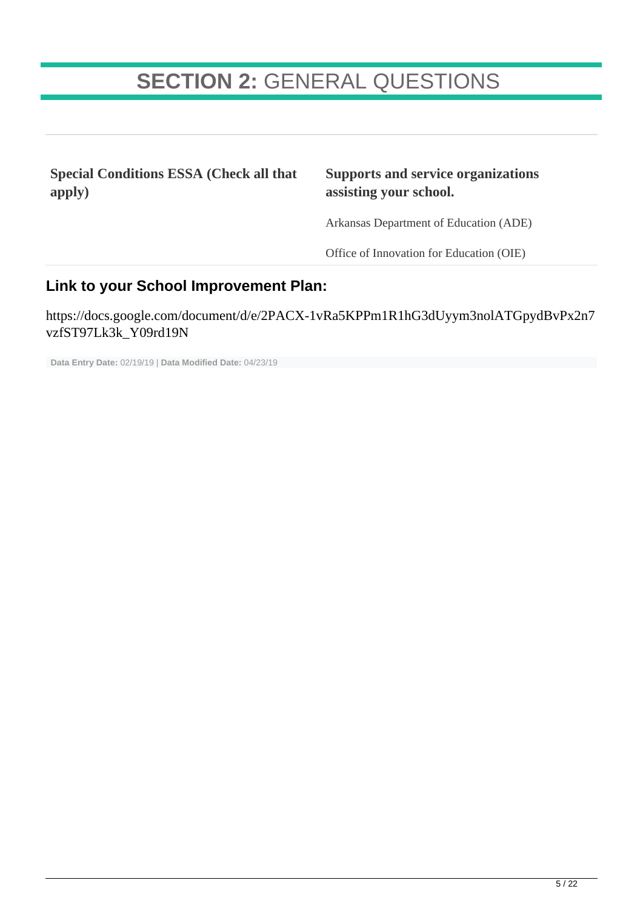# **SECTION 2:** GENERAL QUESTIONS

**Special Conditions ESSA (Check all that apply)**

#### **Supports and service organizations assisting your school.**

Arkansas Department of Education (ADE)

Office of Innovation for Education (OIE)

#### **Link to your School Improvement Plan:**

https://docs.google.com/document/d/e/2PACX-1vRa5KPPm1R1hG3dUyym3nolATGpydBvPx2n7 vzfST97Lk3k\_Y09rd19N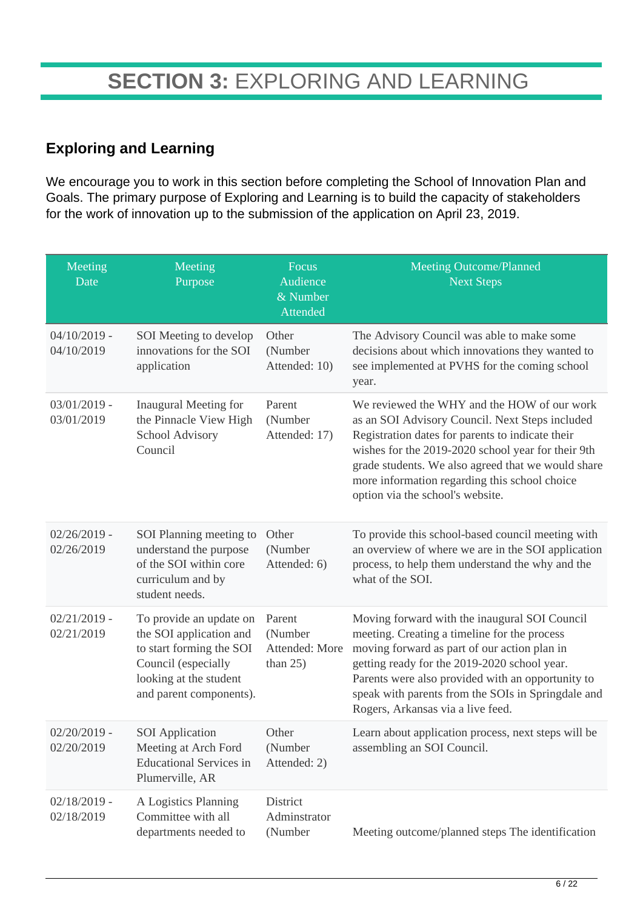### **Exploring and Learning**

We encourage you to work in this section before completing the School of Innovation Plan and Goals. The primary purpose of Exploring and Learning is to build the capacity of stakeholders for the work of innovation up to the submission of the application on April 23, 2019.

| Meeting<br>Date              | Meeting<br>Purpose                                                                                                                                         | Focus<br>Audience<br>& Number<br>Attended          | <b>Meeting Outcome/Planned</b><br><b>Next Steps</b>                                                                                                                                                                                                                                                                                                 |
|------------------------------|------------------------------------------------------------------------------------------------------------------------------------------------------------|----------------------------------------------------|-----------------------------------------------------------------------------------------------------------------------------------------------------------------------------------------------------------------------------------------------------------------------------------------------------------------------------------------------------|
| $04/10/2019$ -<br>04/10/2019 | SOI Meeting to develop<br>innovations for the SOI<br>application                                                                                           | Other<br>(Number<br>Attended: 10)                  | The Advisory Council was able to make some<br>decisions about which innovations they wanted to<br>see implemented at PVHS for the coming school<br>year.                                                                                                                                                                                            |
| $03/01/2019$ -<br>03/01/2019 | Inaugural Meeting for<br>the Pinnacle View High<br>School Advisory<br>Council                                                                              | Parent<br>(Number<br>Attended: 17)                 | We reviewed the WHY and the HOW of our work<br>as an SOI Advisory Council. Next Steps included<br>Registration dates for parents to indicate their<br>wishes for the 2019-2020 school year for their 9th<br>grade students. We also agreed that we would share<br>more information regarding this school choice<br>option via the school's website. |
| $02/26/2019$ -<br>02/26/2019 | SOI Planning meeting to<br>understand the purpose<br>of the SOI within core<br>curriculum and by<br>student needs.                                         | Other<br>(Number<br>Attended: 6)                   | To provide this school-based council meeting with<br>an overview of where we are in the SOI application<br>process, to help them understand the why and the<br>what of the SOI.                                                                                                                                                                     |
| $02/21/2019$ -<br>02/21/2019 | To provide an update on<br>the SOI application and<br>to start forming the SOI<br>Council (especially<br>looking at the student<br>and parent components). | Parent<br>(Number<br>Attended: More<br>than $25$ ) | Moving forward with the inaugural SOI Council<br>meeting. Creating a timeline for the process<br>moving forward as part of our action plan in<br>getting ready for the 2019-2020 school year.<br>Parents were also provided with an opportunity to<br>speak with parents from the SOIs in Springdale and<br>Rogers, Arkansas via a live feed.       |
| $02/20/2019$ -<br>02/20/2019 | <b>SOI</b> Application<br>Meeting at Arch Ford<br><b>Educational Services in</b><br>Plumerville, AR                                                        | Other<br>(Number<br>Attended: 2)                   | Learn about application process, next steps will be<br>assembling an SOI Council.                                                                                                                                                                                                                                                                   |
| $02/18/2019$ -<br>02/18/2019 | A Logistics Planning<br>Committee with all<br>departments needed to                                                                                        | District<br>Adminstrator<br>(Number                | Meeting outcome/planned steps The identification                                                                                                                                                                                                                                                                                                    |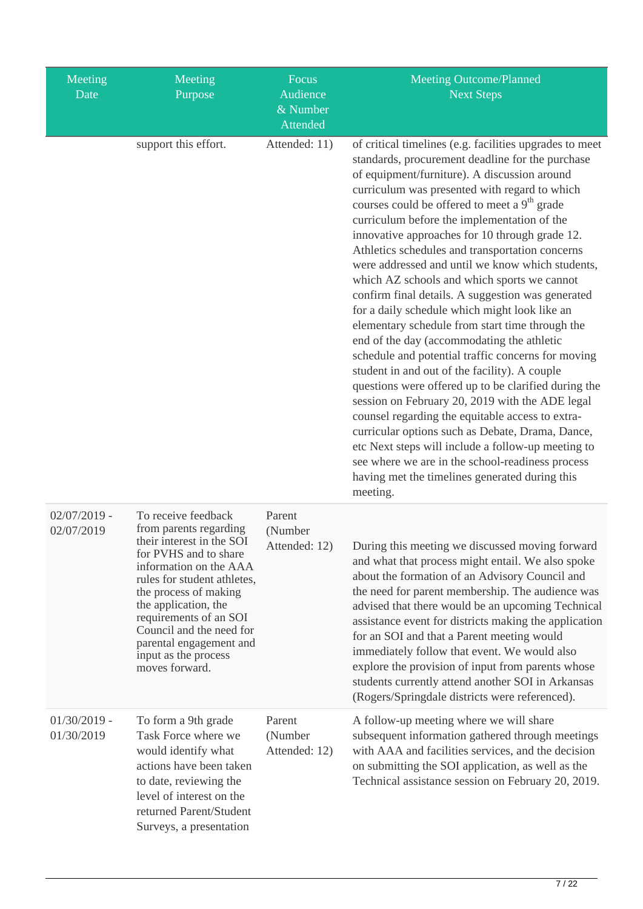| Meeting<br>Date              | Meeting<br>Purpose                                                                                                                                                                                                                                                                                                                       | Focus<br>Audience<br>$\overline{\&}$ Number<br>Attended | <b>Meeting Outcome/Planned</b><br><b>Next Steps</b>                                                                                                                                                                                                                                                                                                                                                                                                                                                                                                                                                                                                                                                                                                                                                                                                                                                                                                                                                                                                                                                                                                                                                                                      |
|------------------------------|------------------------------------------------------------------------------------------------------------------------------------------------------------------------------------------------------------------------------------------------------------------------------------------------------------------------------------------|---------------------------------------------------------|------------------------------------------------------------------------------------------------------------------------------------------------------------------------------------------------------------------------------------------------------------------------------------------------------------------------------------------------------------------------------------------------------------------------------------------------------------------------------------------------------------------------------------------------------------------------------------------------------------------------------------------------------------------------------------------------------------------------------------------------------------------------------------------------------------------------------------------------------------------------------------------------------------------------------------------------------------------------------------------------------------------------------------------------------------------------------------------------------------------------------------------------------------------------------------------------------------------------------------------|
|                              | support this effort.                                                                                                                                                                                                                                                                                                                     | Attended: 11)                                           | of critical timelines (e.g. facilities upgrades to meet<br>standards, procurement deadline for the purchase<br>of equipment/furniture). A discussion around<br>curriculum was presented with regard to which<br>courses could be offered to meet a 9 <sup>th</sup> grade<br>curriculum before the implementation of the<br>innovative approaches for 10 through grade 12.<br>Athletics schedules and transportation concerns<br>were addressed and until we know which students,<br>which AZ schools and which sports we cannot<br>confirm final details. A suggestion was generated<br>for a daily schedule which might look like an<br>elementary schedule from start time through the<br>end of the day (accommodating the athletic<br>schedule and potential traffic concerns for moving<br>student in and out of the facility). A couple<br>questions were offered up to be clarified during the<br>session on February 20, 2019 with the ADE legal<br>counsel regarding the equitable access to extra-<br>curricular options such as Debate, Drama, Dance,<br>etc Next steps will include a follow-up meeting to<br>see where we are in the school-readiness process<br>having met the timelines generated during this<br>meeting. |
| $02/07/2019$ -<br>02/07/2019 | To receive feedback<br>from parents regarding<br>their interest in the SOI<br>for PVHS and to share<br>information on the AAA<br>rules for student athletes,<br>the process of making<br>the application, the<br>requirements of an SOI<br>Council and the need for<br>parental engagement and<br>input as the process<br>moves forward. | Parent<br>(Number<br>Attended: 12)                      | During this meeting we discussed moving forward<br>and what that process might entail. We also spoke<br>about the formation of an Advisory Council and<br>the need for parent membership. The audience was<br>advised that there would be an upcoming Technical<br>assistance event for districts making the application<br>for an SOI and that a Parent meeting would<br>immediately follow that event. We would also<br>explore the provision of input from parents whose<br>students currently attend another SOI in Arkansas<br>(Rogers/Springdale districts were referenced).                                                                                                                                                                                                                                                                                                                                                                                                                                                                                                                                                                                                                                                       |
| $01/30/2019$ -<br>01/30/2019 | To form a 9th grade<br>Task Force where we<br>would identify what<br>actions have been taken<br>to date, reviewing the<br>level of interest on the<br>returned Parent/Student<br>Surveys, a presentation                                                                                                                                 | Parent<br>(Number<br>Attended: 12)                      | A follow-up meeting where we will share<br>subsequent information gathered through meetings<br>with AAA and facilities services, and the decision<br>on submitting the SOI application, as well as the<br>Technical assistance session on February 20, 2019.                                                                                                                                                                                                                                                                                                                                                                                                                                                                                                                                                                                                                                                                                                                                                                                                                                                                                                                                                                             |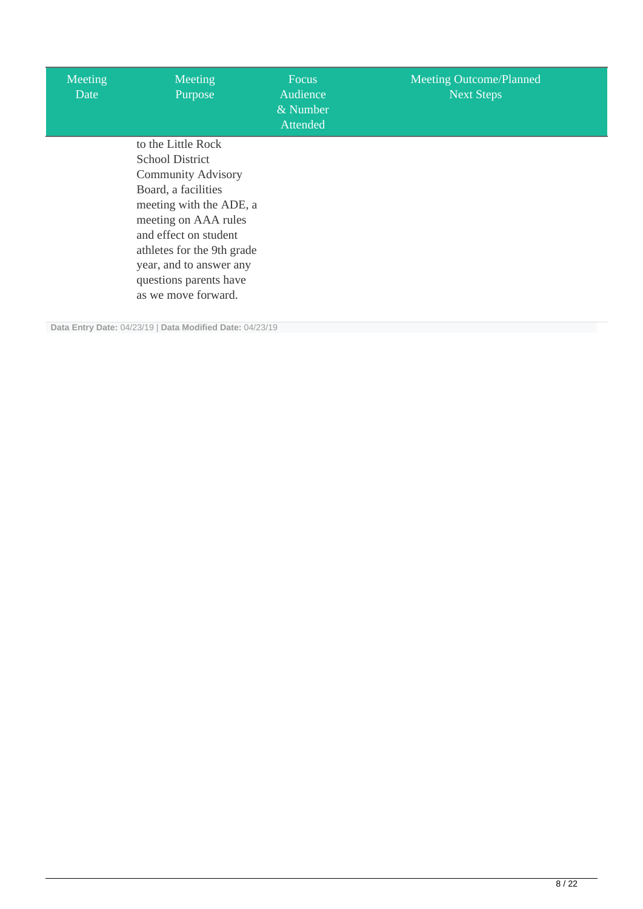| Meeting<br>Date | Meeting<br>Purpose                                                                                                                                                                                                                    | <b>Focus</b><br>Audience<br>& Number<br>Attended | <b>Meeting Outcome/Planned</b><br><b>Next Steps</b> |
|-----------------|---------------------------------------------------------------------------------------------------------------------------------------------------------------------------------------------------------------------------------------|--------------------------------------------------|-----------------------------------------------------|
|                 | to the Little Rock<br><b>School District</b><br><b>Community Advisory</b><br>Board, a facilities<br>meeting with the ADE, a<br>meeting on AAA rules<br>and effect on student<br>athletes for the 9th grade<br>year, and to answer any |                                                  |                                                     |
|                 | questions parents have<br>as we move forward.                                                                                                                                                                                         |                                                  |                                                     |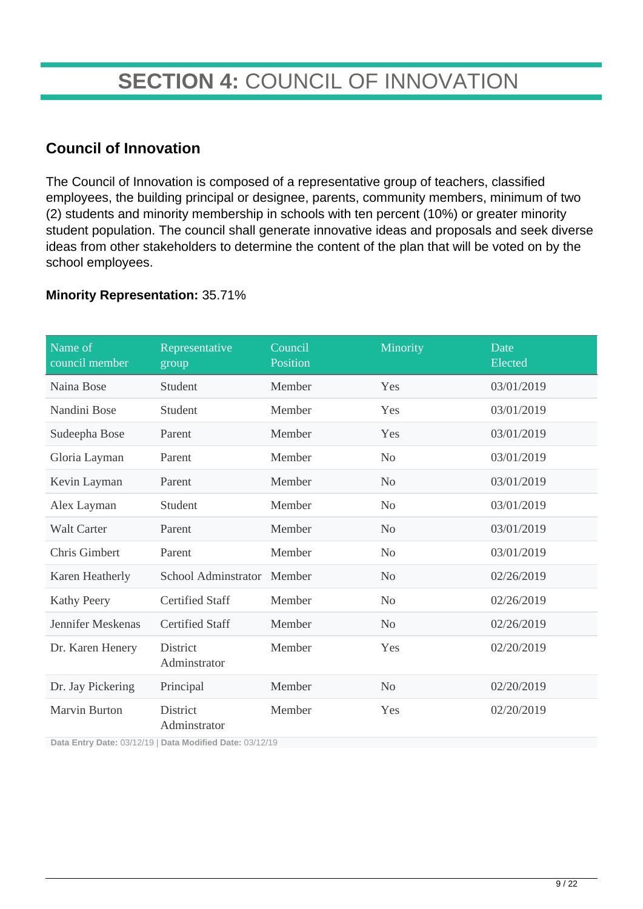# **SECTION 4:** COUNCIL OF INNOVATION

### **Council of Innovation**

The Council of Innovation is composed of a representative group of teachers, classified employees, the building principal or designee, parents, community members, minimum of two (2) students and minority membership in schools with ten percent (10%) or greater minority student population. The council shall generate innovative ideas and proposals and seek diverse ideas from other stakeholders to determine the content of the plan that will be voted on by the school employees.

#### **Minority Representation:** 35.71%

| Name of<br>council member | Representative<br>group         | Council<br>Position | Minority       | Date<br>Elected |
|---------------------------|---------------------------------|---------------------|----------------|-----------------|
| Naina Bose                | Student                         | Member              | Yes            | 03/01/2019      |
| Nandini Bose              | Student                         | Member              | Yes            | 03/01/2019      |
| Sudeepha Bose             | Parent                          | Member              | Yes            | 03/01/2019      |
| Gloria Layman             | Parent                          | Member              | N <sub>o</sub> | 03/01/2019      |
| Kevin Layman              | Parent                          | Member              | N <sub>o</sub> | 03/01/2019      |
| Alex Layman               | Student                         | Member              | N <sub>0</sub> | 03/01/2019      |
| <b>Walt Carter</b>        | Parent                          | Member              | N <sub>o</sub> | 03/01/2019      |
| Chris Gimbert             | Parent                          | Member              | N <sub>o</sub> | 03/01/2019      |
| Karen Heatherly           | School Adminstrator             | Member              | N <sub>o</sub> | 02/26/2019      |
| <b>Kathy Peery</b>        | <b>Certified Staff</b>          | Member              | N <sub>o</sub> | 02/26/2019      |
| Jennifer Meskenas         | <b>Certified Staff</b>          | Member              | No             | 02/26/2019      |
| Dr. Karen Henery          | <b>District</b><br>Adminstrator | Member              | Yes            | 02/20/2019      |
| Dr. Jay Pickering         | Principal                       | Member              | N <sub>o</sub> | 02/20/2019      |
| <b>Marvin Burton</b>      | <b>District</b><br>Adminstrator | Member              | Yes            | 02/20/2019      |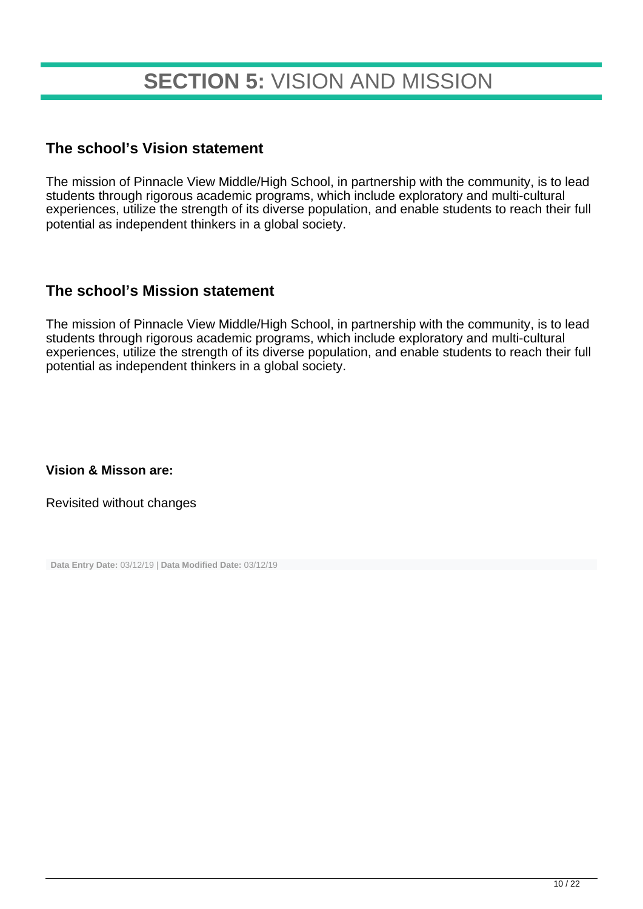# **SECTION 5:** VISION AND MISSION

#### **The school's Vision statement**

The mission of Pinnacle View Middle/High School, in partnership with the community, is to lead students through rigorous academic programs, which include exploratory and multi-cultural experiences, utilize the strength of its diverse population, and enable students to reach their full potential as independent thinkers in a global society.

#### **The school's Mission statement**

The mission of Pinnacle View Middle/High School, in partnership with the community, is to lead students through rigorous academic programs, which include exploratory and multi-cultural experiences, utilize the strength of its diverse population, and enable students to reach their full potential as independent thinkers in a global society.

**Vision & Misson are:**

Revisited without changes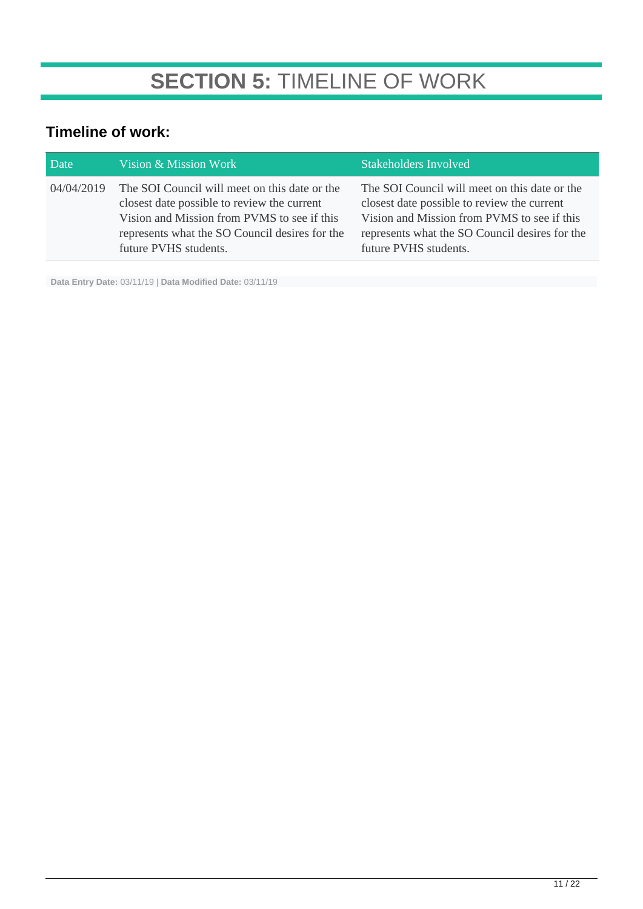### **Timeline of work:**

| Date       | Vision & Mission Work                                                                                                                                                                                                  | <b>Stakeholders Involved</b>                                                                                                                                                                                           |
|------------|------------------------------------------------------------------------------------------------------------------------------------------------------------------------------------------------------------------------|------------------------------------------------------------------------------------------------------------------------------------------------------------------------------------------------------------------------|
| 04/04/2019 | The SOI Council will meet on this date or the<br>closest date possible to review the current<br>Vision and Mission from PVMS to see if this<br>represents what the SO Council desires for the<br>future PVHS students. | The SOI Council will meet on this date or the<br>closest date possible to review the current<br>Vision and Mission from PVMS to see if this<br>represents what the SO Council desires for the<br>future PVHS students. |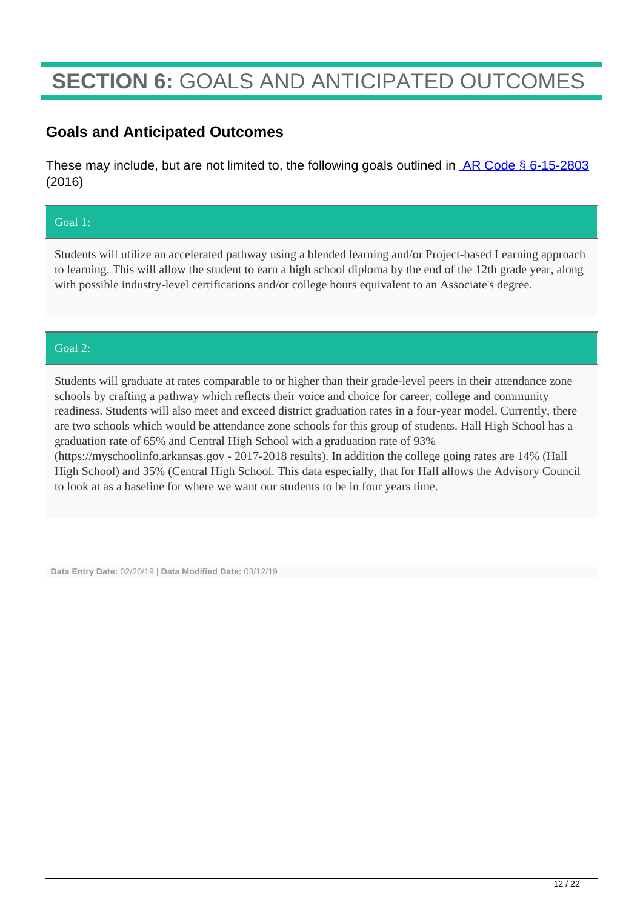# **SECTION 6:** GOALS AND ANTICIPATED OUTCOMES

### **Goals and Anticipated Outcomes**

These may include, but are not limited to, the following goals outlined in **AR Code § 6-15-2803** (2016)

#### Goal 1:

Students will utilize an accelerated pathway using a blended learning and/or Project-based Learning approach to learning. This will allow the student to earn a high school diploma by the end of the 12th grade year, along with possible industry-level certifications and/or college hours equivalent to an Associate's degree.

#### Goal 2:

Students will graduate at rates comparable to or higher than their grade-level peers in their attendance zone schools by crafting a pathway which reflects their voice and choice for career, college and community readiness. Students will also meet and exceed district graduation rates in a four-year model. Currently, there are two schools which would be attendance zone schools for this group of students. Hall High School has a graduation rate of 65% and Central High School with a graduation rate of 93% (https://myschoolinfo.arkansas.gov - 2017-2018 results). In addition the college going rates are 14% (Hall High School) and 35% (Central High School. This data especially, that for Hall allows the Advisory Council to look at as a baseline for where we want our students to be in four years time.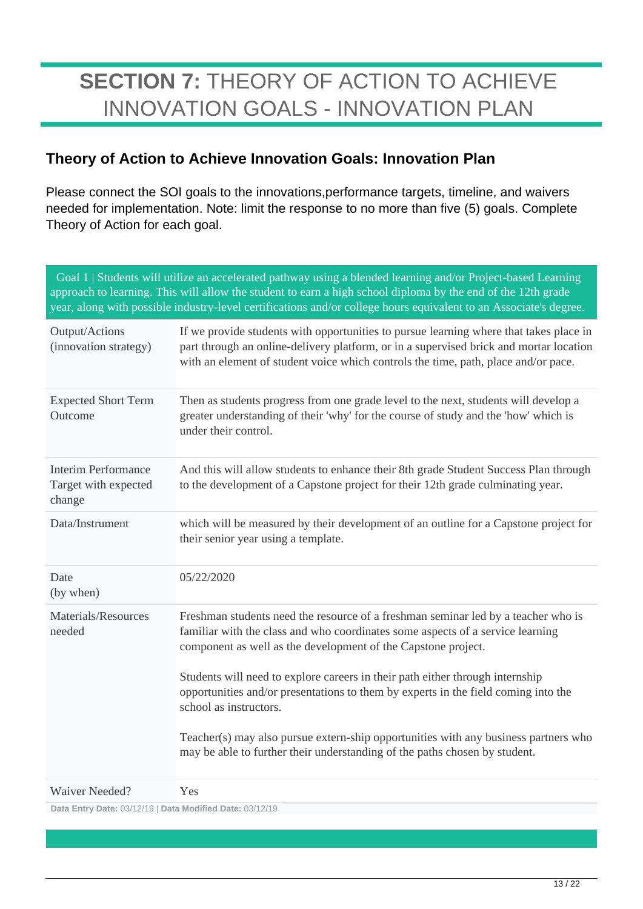# **SECTION 7:** THEORY OF ACTION TO ACHIEVE INNOVATION GOALS - INNOVATION PLAN

### **Theory of Action to Achieve Innovation Goals: Innovation Plan**

Please connect the SOI goals to the innovations,performance targets, timeline, and waivers needed for implementation. Note: limit the response to no more than five (5) goals. Complete Theory of Action for each goal.

|                                                              | Goal 1   Students will utilize an accelerated pathway using a blended learning and/or Project-based Learning<br>approach to learning. This will allow the student to earn a high school diploma by the end of the 12th grade<br>year, along with possible industry-level certifications and/or college hours equivalent to an Associate's degree.                                                                                                                                                                                                                                                          |
|--------------------------------------------------------------|------------------------------------------------------------------------------------------------------------------------------------------------------------------------------------------------------------------------------------------------------------------------------------------------------------------------------------------------------------------------------------------------------------------------------------------------------------------------------------------------------------------------------------------------------------------------------------------------------------|
| Output/Actions<br>(innovation strategy)                      | If we provide students with opportunities to pursue learning where that takes place in<br>part through an online-delivery platform, or in a supervised brick and mortar location<br>with an element of student voice which controls the time, path, place and/or pace.                                                                                                                                                                                                                                                                                                                                     |
| <b>Expected Short Term</b><br>Outcome                        | Then as students progress from one grade level to the next, students will develop a<br>greater understanding of their 'why' for the course of study and the 'how' which is<br>under their control.                                                                                                                                                                                                                                                                                                                                                                                                         |
| <b>Interim Performance</b><br>Target with expected<br>change | And this will allow students to enhance their 8th grade Student Success Plan through<br>to the development of a Capstone project for their 12th grade culminating year.                                                                                                                                                                                                                                                                                                                                                                                                                                    |
| Data/Instrument                                              | which will be measured by their development of an outline for a Capstone project for<br>their senior year using a template.                                                                                                                                                                                                                                                                                                                                                                                                                                                                                |
| Date<br>(by when)                                            | 05/22/2020                                                                                                                                                                                                                                                                                                                                                                                                                                                                                                                                                                                                 |
| Materials/Resources<br>needed                                | Freshman students need the resource of a freshman seminar led by a teacher who is<br>familiar with the class and who coordinates some aspects of a service learning<br>component as well as the development of the Capstone project.<br>Students will need to explore careers in their path either through internship<br>opportunities and/or presentations to them by experts in the field coming into the<br>school as instructors.<br>Teacher(s) may also pursue extern-ship opportunities with any business partners who<br>may be able to further their understanding of the paths chosen by student. |
| <b>Waiver Needed?</b>                                        | Yes                                                                                                                                                                                                                                                                                                                                                                                                                                                                                                                                                                                                        |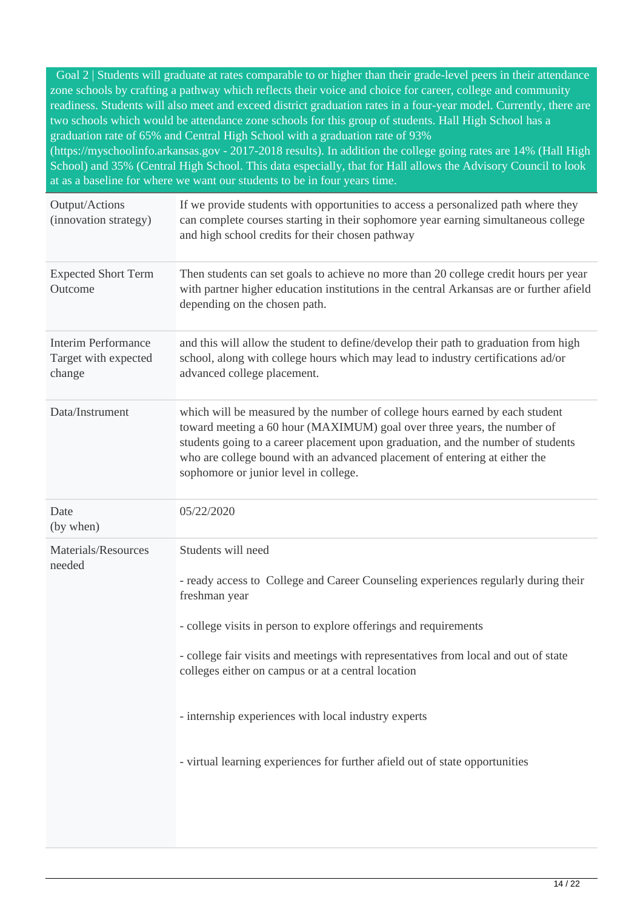Goal 2 | Students will graduate at rates comparable to or higher than their grade-level peers in their attendance zone schools by crafting a pathway which reflects their voice and choice for career, college and community readiness. Students will also meet and exceed district graduation rates in a four-year model. Currently, there are two schools which would be attendance zone schools for this group of students. Hall High School has a graduation rate of 65% and Central High School with a graduation rate of 93% (https://myschoolinfo.arkansas.gov - 2017-2018 results). In addition the college going rates are 14% (Hall High

School) and 35% (Central High School. This data especially, that for Hall allows the Advisory Council to look at as a baseline for where we want our students to be in four years time.

| Output/Actions<br>(innovation strategy)                      | If we provide students with opportunities to access a personalized path where they<br>can complete courses starting in their sophomore year earning simultaneous college<br>and high school credits for their chosen pathway                                                                                                                                                                                                                                                       |
|--------------------------------------------------------------|------------------------------------------------------------------------------------------------------------------------------------------------------------------------------------------------------------------------------------------------------------------------------------------------------------------------------------------------------------------------------------------------------------------------------------------------------------------------------------|
| <b>Expected Short Term</b><br>Outcome                        | Then students can set goals to achieve no more than 20 college credit hours per year<br>with partner higher education institutions in the central Arkansas are or further afield<br>depending on the chosen path.                                                                                                                                                                                                                                                                  |
| <b>Interim Performance</b><br>Target with expected<br>change | and this will allow the student to define/develop their path to graduation from high<br>school, along with college hours which may lead to industry certifications ad/or<br>advanced college placement.                                                                                                                                                                                                                                                                            |
| Data/Instrument                                              | which will be measured by the number of college hours earned by each student<br>toward meeting a 60 hour (MAXIMUM) goal over three years, the number of<br>students going to a career placement upon graduation, and the number of students<br>who are college bound with an advanced placement of entering at either the<br>sophomore or junior level in college.                                                                                                                 |
| Date<br>(by when)                                            | 05/22/2020                                                                                                                                                                                                                                                                                                                                                                                                                                                                         |
| Materials/Resources<br>needed                                | Students will need<br>- ready access to College and Career Counseling experiences regularly during their<br>freshman year<br>- college visits in person to explore offerings and requirements<br>- college fair visits and meetings with representatives from local and out of state<br>colleges either on campus or at a central location<br>- internship experiences with local industry experts<br>- virtual learning experiences for further afield out of state opportunities |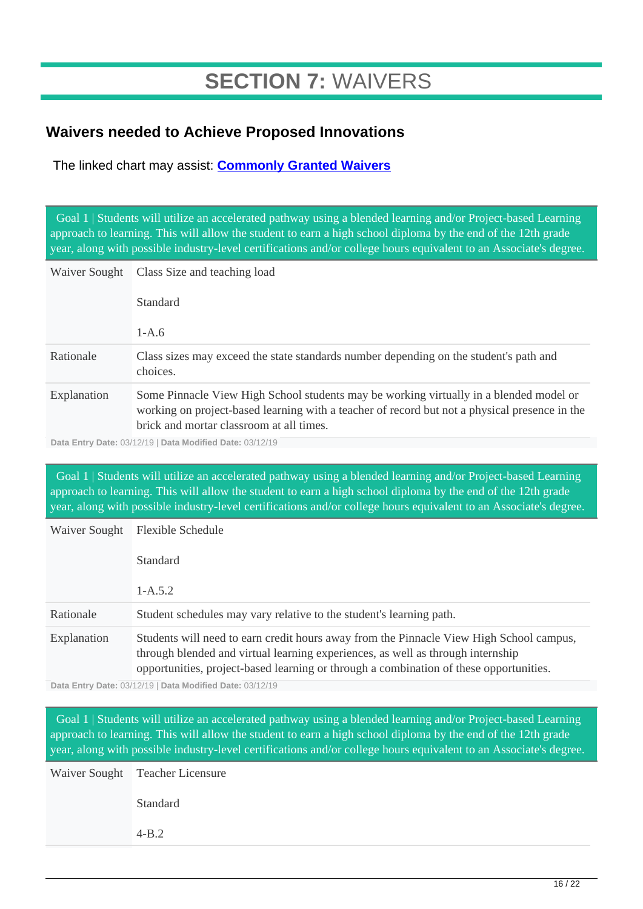# **SECTION 7:** WAIVERS

### **Waivers needed to Achieve Proposed Innovations**

The linked chart may assist: **[Commonly Granted Waivers](http://www.arkansased.gov/public/userfiles/Learning_Services/Charter%20and%20Home%20School/Charter%20School-Division%20of%20Learning%20Services/Applications/Waiver_Document.pdf)**

 Goal 1 | Students will utilize an accelerated pathway using a blended learning and/or Project-based Learning approach to learning. This will allow the student to earn a high school diploma by the end of the 12th grade year, along with possible industry-level certifications and/or college hours equivalent to an Associate's degree.

| Waiver Sought | Class Size and teaching load                                                                                                                                                                                                        |
|---------------|-------------------------------------------------------------------------------------------------------------------------------------------------------------------------------------------------------------------------------------|
|               | <b>Standard</b>                                                                                                                                                                                                                     |
|               | $1-A.6$                                                                                                                                                                                                                             |
| Rationale     | Class sizes may exceed the state standards number depending on the student's path and<br>choices.                                                                                                                                   |
| Explanation   | Some Pinnacle View High School students may be working virtually in a blended model or<br>working on project-based learning with a teacher of record but not a physical presence in the<br>brick and mortar classroom at all times. |

**Data Entry Date:** 03/12/19 | **Data Modified Date:** 03/12/19

 Goal 1 | Students will utilize an accelerated pathway using a blended learning and/or Project-based Learning approach to learning. This will allow the student to earn a high school diploma by the end of the 12th grade year, along with possible industry-level certifications and/or college hours equivalent to an Associate's degree.

| Waiver Sought | <b>Flexible Schedule</b>                                                                                                                                                                                                                                             |
|---------------|----------------------------------------------------------------------------------------------------------------------------------------------------------------------------------------------------------------------------------------------------------------------|
|               | <b>Standard</b>                                                                                                                                                                                                                                                      |
|               | $1 - A.5.2$                                                                                                                                                                                                                                                          |
| Rationale     | Student schedules may vary relative to the student's learning path.                                                                                                                                                                                                  |
| Explanation   | Students will need to earn credit hours away from the Pinnacle View High School campus,<br>through blended and virtual learning experiences, as well as through internship<br>opportunities, project-based learning or through a combination of these opportunities. |

**Data Entry Date:** 03/12/19 | **Data Modified Date:** 03/12/19

 Goal 1 | Students will utilize an accelerated pathway using a blended learning and/or Project-based Learning approach to learning. This will allow the student to earn a high school diploma by the end of the 12th grade year, along with possible industry-level certifications and/or college hours equivalent to an Associate's degree.

Waiver Sought Teacher Licensure Standard 4-B.2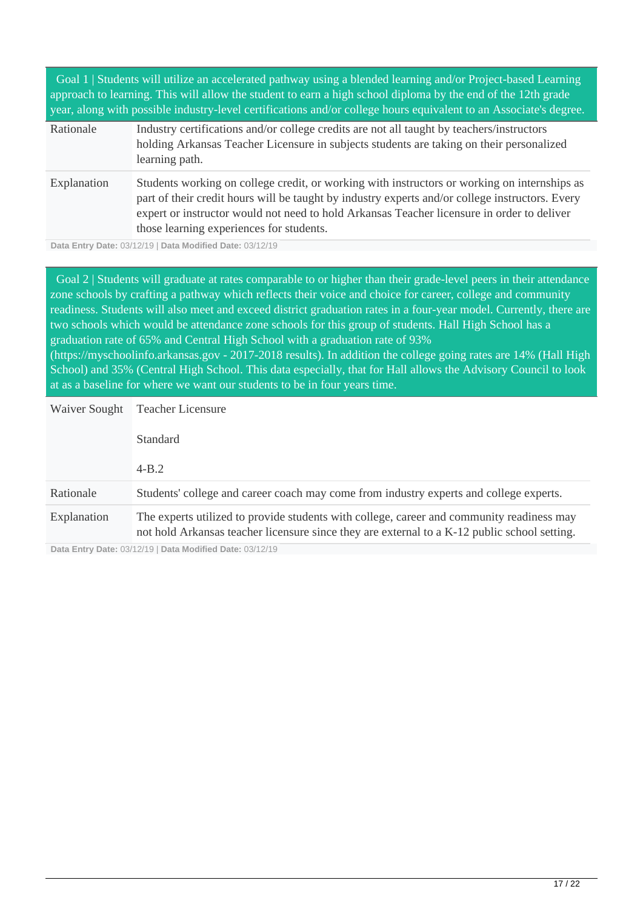| Goal 1   Students will utilize an accelerated pathway using a blended learning and/or Project-based Learning<br>approach to learning. This will allow the student to earn a high school diploma by the end of the 12th grade<br>year, along with possible industry-level certifications and/or college hours equivalent to an Associate's degree. |                                                                                                                                                                                                                                                                                                                                           |  |
|---------------------------------------------------------------------------------------------------------------------------------------------------------------------------------------------------------------------------------------------------------------------------------------------------------------------------------------------------|-------------------------------------------------------------------------------------------------------------------------------------------------------------------------------------------------------------------------------------------------------------------------------------------------------------------------------------------|--|
| Rationale                                                                                                                                                                                                                                                                                                                                         | Industry certifications and/or college credits are not all taught by teachers/instructors<br>holding Arkansas Teacher Licensure in subjects students are taking on their personalized<br>learning path.                                                                                                                                   |  |
| Explanation                                                                                                                                                                                                                                                                                                                                       | Students working on college credit, or working with instructors or working on internships as<br>part of their credit hours will be taught by industry experts and/or college instructors. Every<br>expert or instructor would not need to hold Arkansas Teacher licensure in order to deliver<br>those learning experiences for students. |  |

**Data Entry Date:** 03/12/19 | **Data Modified Date:** 03/12/19

 Goal 2 | Students will graduate at rates comparable to or higher than their grade-level peers in their attendance zone schools by crafting a pathway which reflects their voice and choice for career, college and community readiness. Students will also meet and exceed district graduation rates in a four-year model. Currently, there are two schools which would be attendance zone schools for this group of students. Hall High School has a graduation rate of 65% and Central High School with a graduation rate of 93% (https://myschoolinfo.arkansas.gov - 2017-2018 results). In addition the college going rates are 14% (Hall High School) and 35% (Central High School. This data especially, that for Hall allows the Advisory Council to look at as a baseline for where we want our students to be in four years time.

| Waiver Sought | <b>Teacher Licensure</b>                                                                                                                                                                  |
|---------------|-------------------------------------------------------------------------------------------------------------------------------------------------------------------------------------------|
|               | <b>Standard</b>                                                                                                                                                                           |
|               | $4 - B.2$                                                                                                                                                                                 |
| Rationale     | Students' college and career coach may come from industry experts and college experts.                                                                                                    |
| Explanation   | The experts utilized to provide students with college, career and community readiness may<br>not hold Arkansas teacher licensure since they are external to a K-12 public school setting. |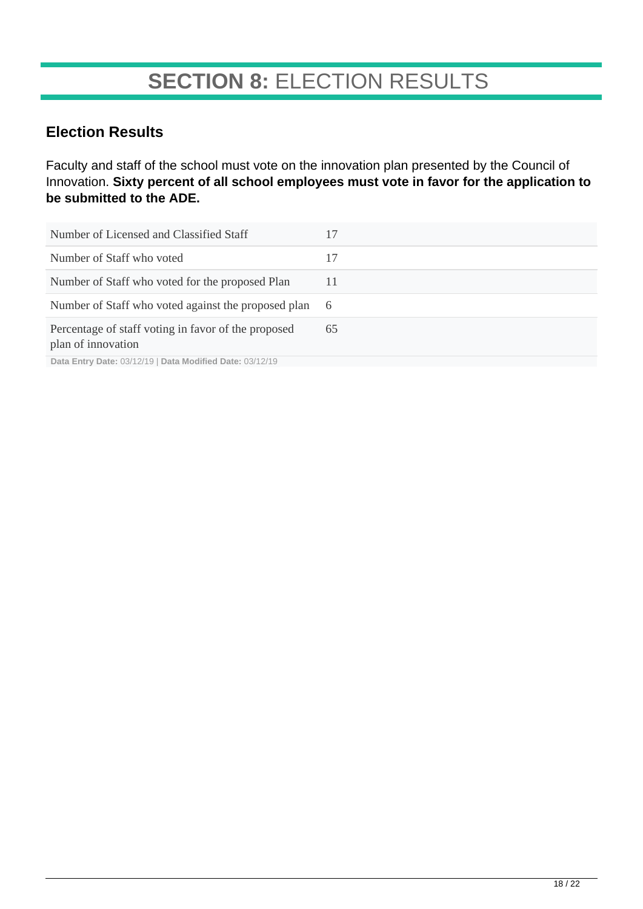# **SECTION 8:** ELECTION RESULTS

### **Election Results**

Faculty and staff of the school must vote on the innovation plan presented by the Council of Innovation. **Sixty percent of all school employees must vote in favor for the application to be submitted to the ADE.**

| Number of Licensed and Classified Staff                                   | 17  |
|---------------------------------------------------------------------------|-----|
| Number of Staff who voted                                                 | 17  |
| Number of Staff who voted for the proposed Plan                           | 11  |
| Number of Staff who voted against the proposed plan                       | - 6 |
| Percentage of staff voting in favor of the proposed<br>plan of innovation | 65  |
| Data Entry Date: 03/12/19   Data Modified Date: 03/12/19                  |     |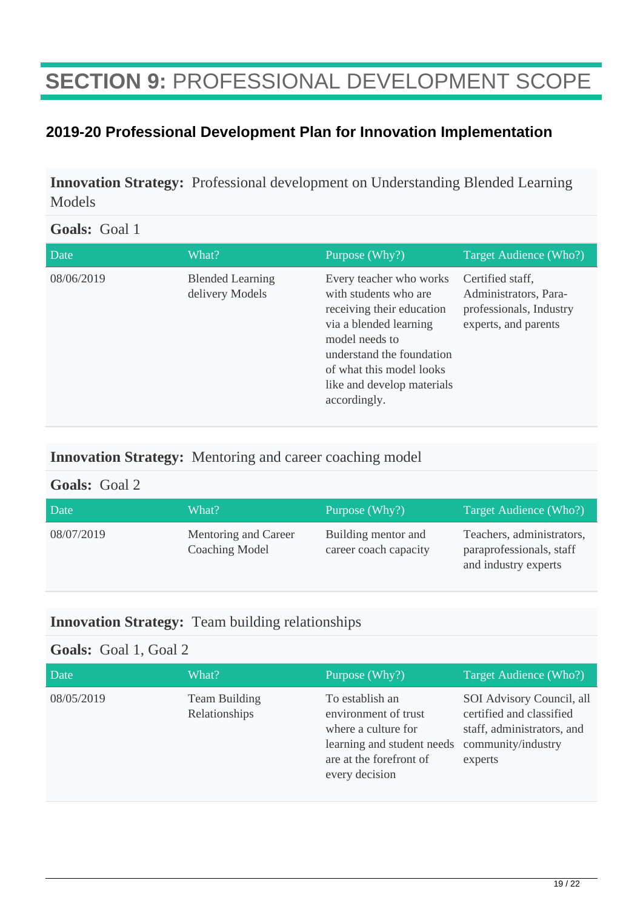# **SECTION 9:** PROFESSIONAL DEVELOPMENT SCOPE

### **2019-20 Professional Development Plan for Innovation Implementation**

**Innovation Strategy:** Professional development on Understanding Blended Learning Models

#### **Goals:** Goal 1

| Date       | What?                                      | Purpose (Why?)                                                                                                                                                                                                                   | Target Audience (Who?)                                                                       |
|------------|--------------------------------------------|----------------------------------------------------------------------------------------------------------------------------------------------------------------------------------------------------------------------------------|----------------------------------------------------------------------------------------------|
| 08/06/2019 | <b>Blended Learning</b><br>delivery Models | Every teacher who works<br>with students who are<br>receiving their education<br>via a blended learning<br>model needs to<br>understand the foundation<br>of what this model looks<br>like and develop materials<br>accordingly. | Certified staff,<br>Administrators, Para-<br>professionals, Industry<br>experts, and parents |

#### **Innovation Strategy:** Mentoring and career coaching model

#### **Goals:** Goal 2

| Date       | What?                                         | Purpose $(Why?)$                             | Target Audience (Who?)                                                        |
|------------|-----------------------------------------------|----------------------------------------------|-------------------------------------------------------------------------------|
| 08/07/2019 | Mentoring and Career<br><b>Coaching Model</b> | Building mentor and<br>career coach capacity | Teachers, administrators,<br>paraprofessionals, staff<br>and industry experts |

#### **Innovation Strategy:** Team building relationships

#### **Goals:** Goal 1, Goal 2

| Date       | What?                          | Purpose (Why?)                                                                                                                            | Target Audience (Who?)                                                                                               |
|------------|--------------------------------|-------------------------------------------------------------------------------------------------------------------------------------------|----------------------------------------------------------------------------------------------------------------------|
| 08/05/2019 | Team Building<br>Relationships | To establish an<br>environment of trust<br>where a culture for<br>learning and student needs<br>are at the forefront of<br>every decision | SOI Advisory Council, all<br>certified and classified<br>staff, administrators, and<br>community/industry<br>experts |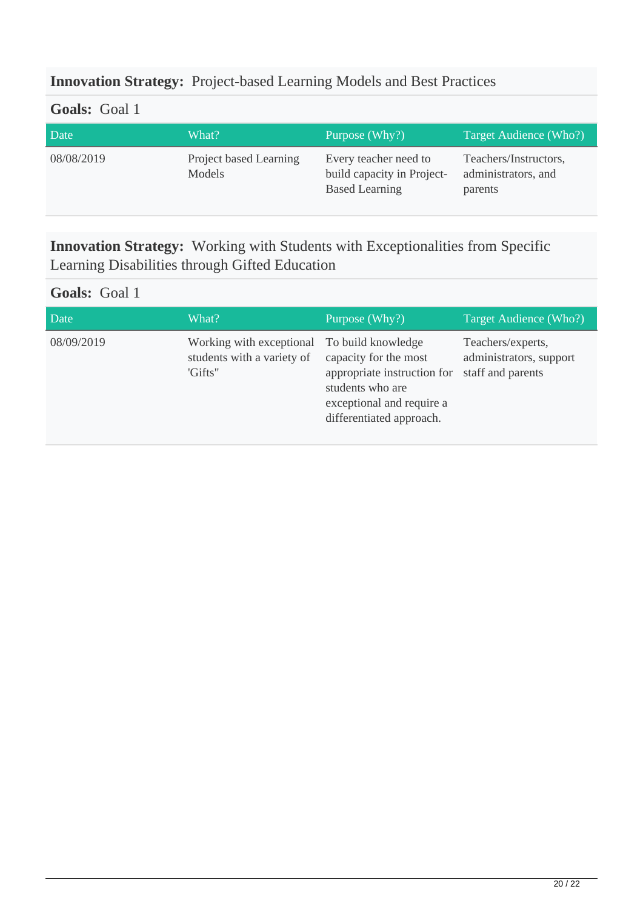### **Innovation Strategy:** Project-based Learning Models and Best Practices

### **Goals:** Goal 1

| Date       | What?                            | Purpose (Why?)                                                               | Target Audience (Who?)                                  |
|------------|----------------------------------|------------------------------------------------------------------------------|---------------------------------------------------------|
| 08/08/2019 | Project based Learning<br>Models | Every teacher need to<br>build capacity in Project-<br><b>Based Learning</b> | Teachers/Instructors,<br>administrators, and<br>parents |

**Innovation Strategy:** Working with Students with Exceptionalities from Specific Learning Disabilities through Gifted Education

### **Goals:** Goal 1

| Date       | What?                                                                                | Purpose (Why?)                                                                                                                    | Target Audience (Who?)                                            |
|------------|--------------------------------------------------------------------------------------|-----------------------------------------------------------------------------------------------------------------------------------|-------------------------------------------------------------------|
| 08/09/2019 | Working with exceptional To build knowledge<br>students with a variety of<br>'Gifts" | capacity for the most<br>appropriate instruction for<br>students who are<br>exceptional and require a<br>differentiated approach. | Teachers/experts,<br>administrators, support<br>staff and parents |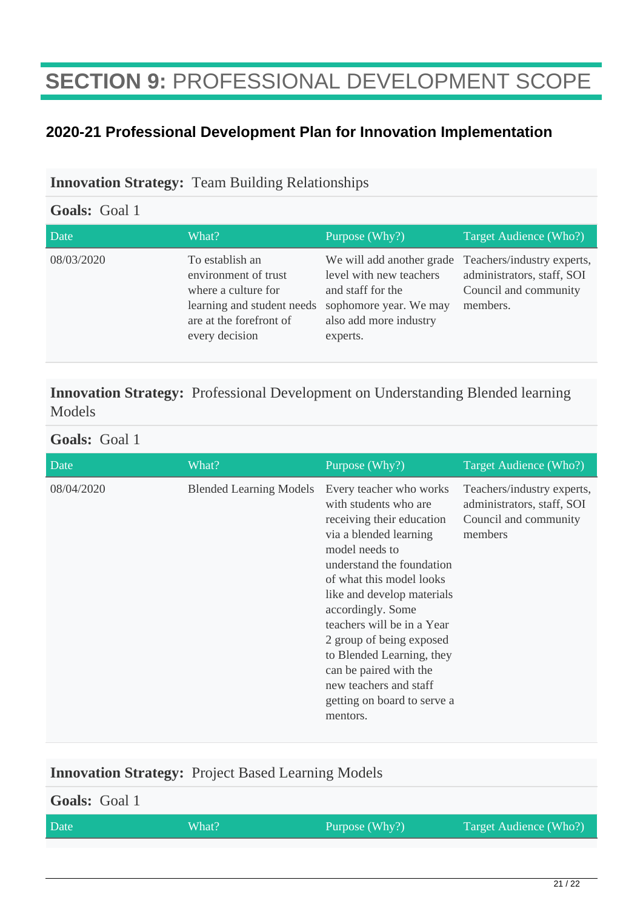# **SECTION 9:** PROFESSIONAL DEVELOPMENT SCOPE

### **2020-21 Professional Development Plan for Innovation Implementation**

#### **Innovation Strategy:** Team Building Relationships

#### **Goals:** Goal 1

| Date       | What?                                                                                                                                     | Purpose (Why?)                                                                                                                            | Target Audience (Who?)                                                                        |
|------------|-------------------------------------------------------------------------------------------------------------------------------------------|-------------------------------------------------------------------------------------------------------------------------------------------|-----------------------------------------------------------------------------------------------|
| 08/03/2020 | To establish an<br>environment of trust<br>where a culture for<br>learning and student needs<br>are at the forefront of<br>every decision | We will add another grade<br>level with new teachers<br>and staff for the<br>sophomore year. We may<br>also add more industry<br>experts. | Teachers/industry experts,<br>administrators, staff, SOI<br>Council and community<br>members. |

### **Innovation Strategy:** Professional Development on Understanding Blended learning Models

#### **Goals:** Goal 1

| Date       | What?                          | Purpose (Why?)                                                                                                                                                                                                                                                                                                                                                                                                              | Target Audience (Who?)                                                                       |
|------------|--------------------------------|-----------------------------------------------------------------------------------------------------------------------------------------------------------------------------------------------------------------------------------------------------------------------------------------------------------------------------------------------------------------------------------------------------------------------------|----------------------------------------------------------------------------------------------|
| 08/04/2020 | <b>Blended Learning Models</b> | Every teacher who works<br>with students who are<br>receiving their education<br>via a blended learning<br>model needs to<br>understand the foundation<br>of what this model looks<br>like and develop materials<br>accordingly. Some<br>teachers will be in a Year<br>2 group of being exposed<br>to Blended Learning, they<br>can be paired with the<br>new teachers and staff<br>getting on board to serve a<br>mentors. | Teachers/industry experts,<br>administrators, staff, SOI<br>Council and community<br>members |

#### **Innovation Strategy:** Project Based Learning Models

# **Goals:** Goal 1 Date What? What? Purpose (Why?) Target Audience (Who?)